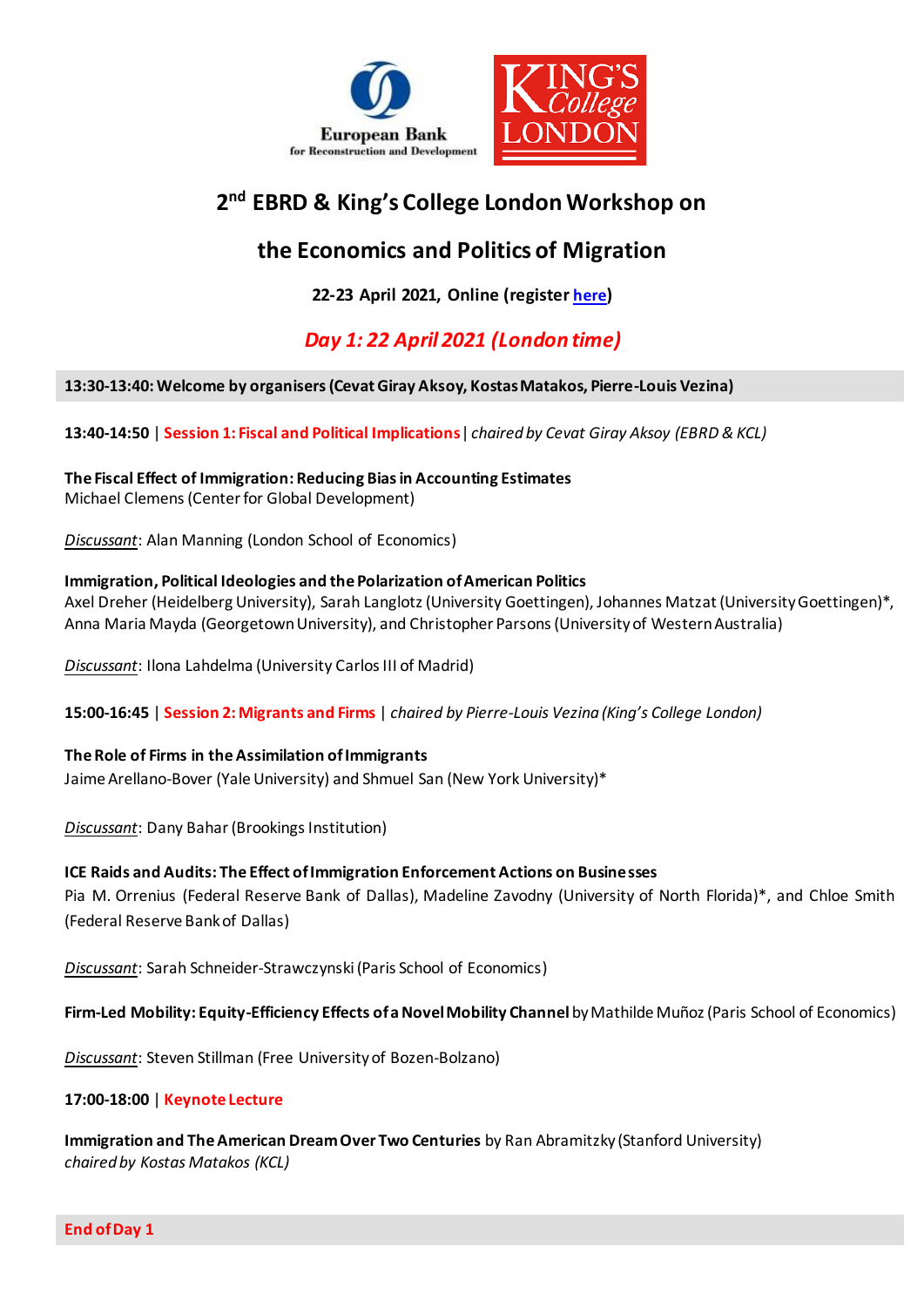

# **2 nd EBRD & King's College London Workshop on**

# **the Economics and Politics of Migration**

**22-23 April 2021, Online (register [here](https://ebrd-economics-talks.zoom.us/meeting/register/tZIodeuoqjouEtFL5q7SlgpZE4wy5B8qIIjh))**

## *Day 1: 22 April 2021 (London time)*

### **13:30-13:40: Welcome by organisers (Cevat Giray Aksoy, Kostas Matakos, Pierre-Louis Vezina)**

**13:40-14:50** | **Session 1: Fiscal and Political Implications**| *chaired by Cevat Giray Aksoy (EBRD & KCL)*

**The Fiscal Effect of Immigration: Reducing Bias in Accounting Estimates** Michael Clemens (Center for Global Development)

*Discussant*: Alan Manning (London School of Economics)

### **Immigration, Political Ideologies and the Polarization of American Politics**

Axel Dreher (Heidelberg University), Sarah Langlotz (University Goettingen), Johannes Matzat (University Goettingen)\*, Anna Maria Mayda (Georgetown University), and Christopher Parsons (University of Western Australia)

*Discussant*: Ilona Lahdelma (University Carlos III of Madrid)

**15:00-16:45** | **Session 2: Migrants and Firms** | *chaired by Pierre-Louis Vezina (King's College London)*

### **The Role of Firms in the Assimilation of Immigrants**

Jaime Arellano-Bover (Yale University) and Shmuel San (New York University)\*

*Discussant*: Dany Bahar(Brookings Institution)

### **ICE Raids and Audits: The Effect of Immigration Enforcement Actions on Businesses**

Pia M. Orrenius (Federal Reserve Bank of Dallas), Madeline Zavodny (University of North Florida)\*, and Chloe Smith (Federal Reserve Bank of Dallas)

*Discussant*: Sarah Schneider-Strawczynski (Paris School of Economics)

**Firm-Led Mobility: Equity-Efficiency Effects of aNovel Mobility Channel** by Mathilde Muñoz (Paris School of Economics)

*Discussant*: Steven Stillman (Free University of Bozen-Bolzano)

### **17:00-18:00** | **Keynote Lecture**

**Immigration and The American Dream Over Two Centuries** by Ran Abramitzky (Stanford University) *chaired by Kostas Matakos (KCL)*

**End of Day 1**